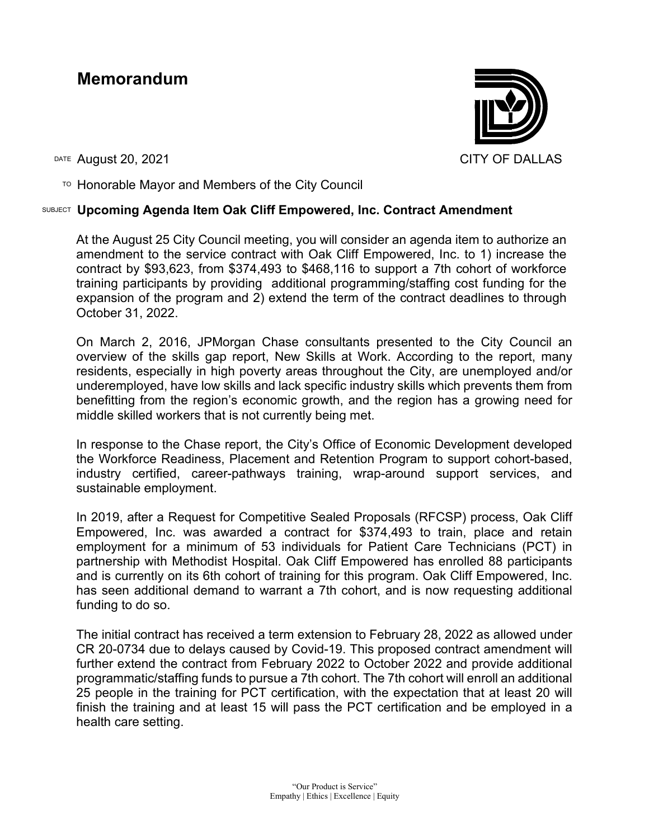## **Memorandum**



DATE August 20, 2021 CITY OF DALLAS

 $T$ <sup>O</sup> Honorable Mayor and Members of the City Council

## SUBJECT **Upcoming Agenda Item Oak Cliff Empowered, Inc. Contract Amendment**

At the August 25 City Council meeting, you will consider an agenda item to authorize an amendment to the service contract with Oak Cliff Empowered, Inc. to 1) increase the contract by \$93,623, from \$374,493 to \$468,116 to support a 7th cohort of workforce training participants by providing additional programming/staffing cost funding for the expansion of the program and 2) extend the term of the contract deadlines to through October 31, 2022.

On March 2, 2016, JPMorgan Chase consultants presented to the City Council an overview of the skills gap report, New Skills at Work. According to the report, many residents, especially in high poverty areas throughout the City, are unemployed and/or underemployed, have low skills and lack specific industry skills which prevents them from benefitting from the region's economic growth, and the region has a growing need for middle skilled workers that is not currently being met.

In response to the Chase report, the City's Office of Economic Development developed the Workforce Readiness, Placement and Retention Program to support cohort-based, industry certified, career-pathways training, wrap-around support services, and sustainable employment.

In 2019, after a Request for Competitive Sealed Proposals (RFCSP) process, Oak Cliff Empowered, Inc. was awarded a contract for \$374,493 to train, place and retain employment for a minimum of 53 individuals for Patient Care Technicians (PCT) in partnership with Methodist Hospital. Oak Cliff Empowered has enrolled 88 participants and is currently on its 6th cohort of training for this program. Oak Cliff Empowered, Inc. has seen additional demand to warrant a 7th cohort, and is now requesting additional funding to do so.

The initial contract has received a term extension to February 28, 2022 as allowed under CR 20-0734 due to delays caused by Covid-19. This proposed contract amendment will further extend the contract from February 2022 to October 2022 and provide additional programmatic/staffing funds to pursue a 7th cohort. The 7th cohort will enroll an additional 25 people in the training for PCT certification, with the expectation that at least 20 will finish the training and at least 15 will pass the PCT certification and be employed in a health care setting.